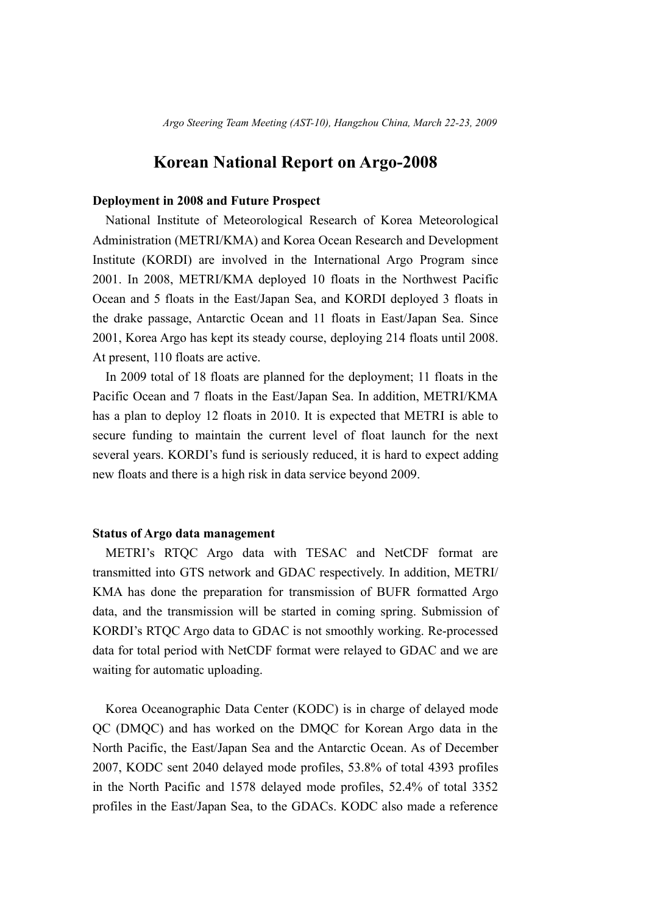## **Korean National Report on Argo-2008**

## **Deployment in 2008 and Future Prospect**

National Institute of Meteorological Research of Korea Meteorological Administration (METRI/KMA) and Korea Ocean Research and Development Institute (KORDI) are involved in the International Argo Program since 2001. In 2008, METRI/KMA deployed 10 floats in the Northwest Pacific Ocean and 5 floats in the East/Japan Sea, and KORDI deployed 3 floats in the drake passage, Antarctic Ocean and 11 floats in East/Japan Sea. Since 2001, Korea Argo has kept its steady course, deploying 214 floats until 2008. At present, 110 floats are active.

In 2009 total of 18 floats are planned for the deployment; 11 floats in the Pacific Ocean and 7 floats in the East/Japan Sea. In addition, METRI/KMA has a plan to deploy 12 floats in 2010. It is expected that METRI is able to secure funding to maintain the current level of float launch for the next several years. KORDI's fund is seriously reduced, it is hard to expect adding new floats and there is a high risk in data service beyond 2009.

## **Status of Argo data management**

METRI's RTQC Argo data with TESAC and NetCDF format are transmitted into GTS network and GDAC respectively. In addition, METRI/ KMA has done the preparation for transmission of BUFR formatted Argo data, and the transmission will be started in coming spring. Submission of KORDI's RTQC Argo data to GDAC is not smoothly working. Re-processed data for total period with NetCDF format were relayed to GDAC and we are waiting for automatic uploading.

Korea Oceanographic Data Center (KODC) is in charge of delayed mode QC (DMQC) and has worked on the DMQC for Korean Argo data in the North Pacific, the East/Japan Sea and the Antarctic Ocean. As of December 2007, KODC sent 2040 delayed mode profiles, 53.8% of total 4393 profiles in the North Pacific and 1578 delayed mode profiles, 52.4% of total 3352 profiles in the East/Japan Sea, to the GDACs. KODC also made a reference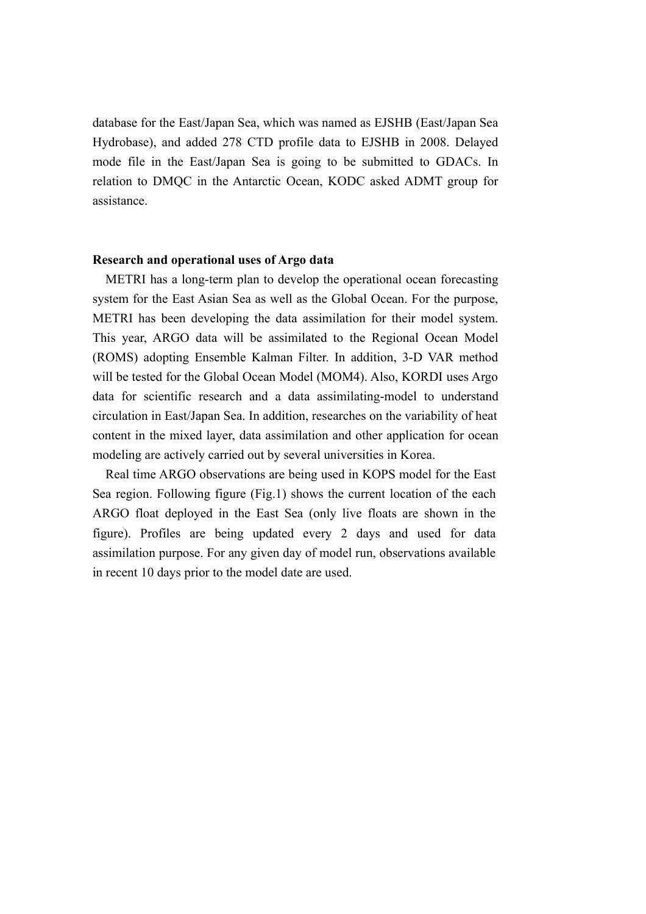database for the East/Japan Sea, which was named as EJSHB (East/Japan Sea Hydrobase), and added 278 CTD profile data to EJSHB in 2008. Delayed mode file in the East/Japan Sea is going to be submitted to GDACs. In relation to DMQC in the Antarctic Ocean, KODC asked ADMT group for assistance.

## **Research and operational uses of Argo data**

METRI has a long-term plan to develop the operational ocean forecasting system for the East Asian Sea as well as the Global Ocean. For the purpose, METRI has been developing the data assimilation for their model system. This year, ARGO data will be assimilated to the Regional Ocean Model (ROMS) adopting Ensemble Kalman Filter. In addition, 3-D VAR method will be tested for the Global Ocean Model (MOM4). Also, KORDI uses Argo data for scientific research and a data assimilating-model to understand circulation in East/Japan Sea. In addition, researches on the variability of heat content in the mixed layer, data assimilation and other application for ocean modeling are actively carried out by several universities in Korea.

Real time ARGO observations are being used in KOPS model for the East Sea region. Following figure (Fig.1) shows the current location of the each ARGO float deployed in the East Sea (only live floats are shown in the figure). Profiles are being updated every 2 days and used for data assimilation purpose. For any given day of model run, observations available in recent 10 days prior to the model date are used.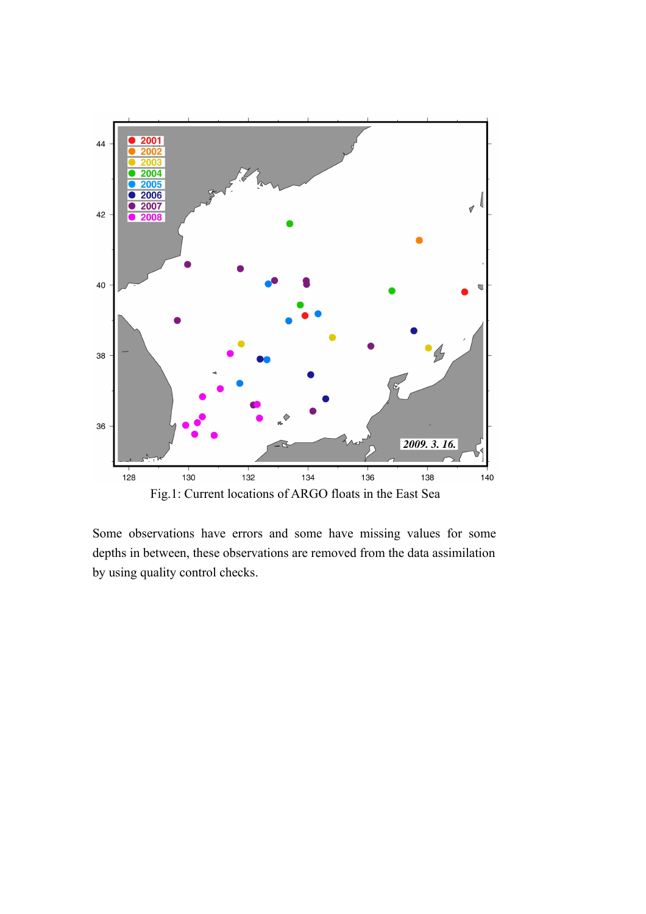

Some observations have errors and some have missing values for some depths in between, these observations are removed from the data assimilation by using quality control checks.